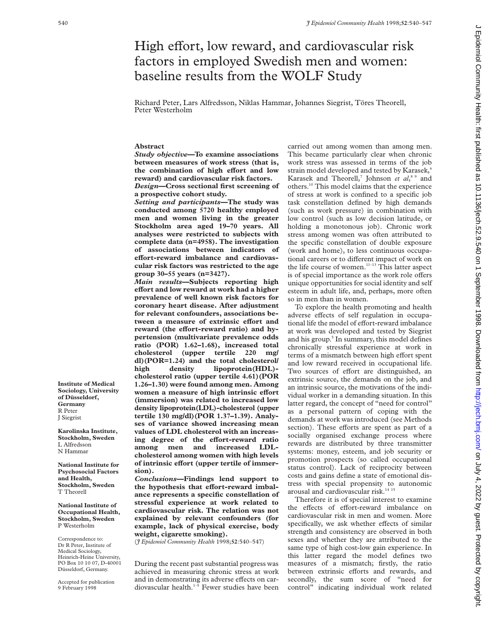# High effort, low reward, and cardiovascular risk factors in employed Swedish men and women: baseline results from the WOLF Study

Richard Peter, Lars Alfredsson, Niklas Hammar, Johannes Siegrist, Töres Theorell, Peter Westerholm

# **Abstract**

*Study objective***—To examine associations between measures of work stress (that is,** the combination of high effort and low **reward) and cardiovascular risk factors.** *Design***—Cross sectional first screening of**

**a prospective cohort study.**

*Setting and participants***—The study was conducted among 5720 healthy employed men and women living in the greater Stockholm area aged 19–70 years. All analyses were restricted to subjects with complete data (n=4958). The investigation of associations between indicators of** effort-reward imbalance and cardiovas**cular risk factors was restricted to the age group 30–55 years (n=3427).**

*Main results***—Subjects reporting high effort and low reward at work had a higher prevalence of well known risk factors for coronary heart disease. After adjustment for relevant confounders, associations between a measure of extrinsic effort and** reward (the effort-reward ratio) and hy**pertension (multivariate prevalence odds ratio (POR) 1.62–1.68), increased total cholesterol (upper tertile 220 mg/ dl)(POR=1.24) and the total cholesterol/ high density lipoprotein(HDL) cholesterol ratio (upper tertile 4.61)(POR 1.26–1.30) were found among men. Among** women a measure of high intrinsic effort **(immersion) was related to increased low density lipoprotein(LDL)-cholesterol (upper tertile 130 mg/dl)(POR 1.37–1.39). Analyses of variance showed increasing mean values of LDL cholesterol with an increas**ing degree of the effort-reward ratio<br>among men and increased LDLand increased LDL**cholesterol among women with high levels** of intrinsic effort (upper tertile of immer**sion).**

*Conclusions***—Findings lend support to** the hypothesis that effort-reward imbal**ance represents a specific constellation of stressful experience at work related to cardiovascular risk. The relation was not explained by relevant confounders (for example, lack of physical exercise, body weight, cigarette smoking).**

(*J Epidemiol Community Health* 1998;**52**:540–547)

During the recent past substantial progress was achieved in measuring chronic stress at work and in demonstrating its adverse effects on cardiovascular health.<sup>1-5</sup> Fewer studies have been carried out among women than among men. This became particularly clear when chronic work stress was assessed in terms of the job strain model developed and tested by Karasek,<sup>6</sup> Karasek and Theorell,<sup>7</sup> Johnson et al,<sup>89</sup> and others.10 This model claims that the experience of stress at work is confined to a specific job task constellation defined by high demands (such as work pressure) in combination with low control (such as low decision latitude, or holding a monotonous job). Chronic work stress among women was often attributed to the specific constellation of double exposure (work and home), to less continuous occupational careers or to different impact of work on the life course of women.<sup>11-13</sup> This latter aspect is of special importance as the work role offers unique opportunities for social identity and self esteem in adult life, and, perhaps, more often so in men than in women.

To explore the health promoting and health adverse effects of self regulation in occupational life the model of effort-reward imbalance at work was developed and tested by Siegrist and his group.<sup>5</sup> In summary, this model defines chronically stressful experience at work in terms of a mismatch between high effort spent and low reward received in occupational life. Two sources of effort are distinguished, an extrinsic source, the demands on the job, and an intrinsic source, the motivations of the individual worker in a demanding situation. In this latter regard, the concept of "need for control" as a personal pattern of coping with the demands at work was introduced (see Methods section). These efforts are spent as part of a socially organised exchange process where rewards are distributed by three transmitter systems: money, esteem, and job security or promotion prospects (so called occupational status control). Lack of reciprocity between costs and gains define a state of emotional distress with special propensity to autonomic arousal and cardiovascular risk.<sup>14 15</sup>

Therefore it is of special interest to examine the effects of effort-reward imbalance on cardiovascular risk in men and women. More specifically, we ask whether effects of similar strength and consistency are observed in both sexes and whether they are attributed to the same type of high cost-low gain experience. In this latter regard the model defines two measures of a mismatch; firstly, the ratio between extrinsic efforts and rewards, and secondly, the sum score of "need for control" indicating individual work related

**Institute of Medical Sociology, University of Düsseldorf, Germany** R Peter J Siegrist

**Karolinska Institute, Stockholm, Sweden** L Alfredsson N Hammar

**National Institute for Psychosocial Factors and Health, Stockholm, Sweden** T Theorell

**National Institute of Occupational Health, Stockholm, Sweden** P Westerholm

Correspondence to: Dr R Peter, Institute of Medical Sociology, Heinrich-Heine University, PO Box 10 10 07, D-40001 Düsseldorf, Germany.

Accepted for publication 9 February 1998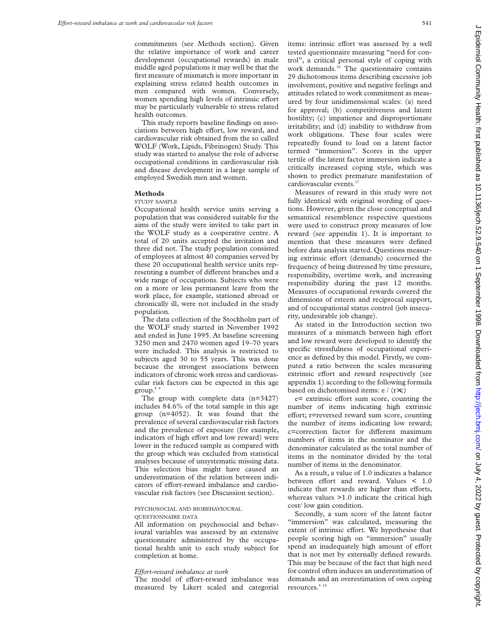commitments (see Methods section). Given the relative importance of work and career development (occupational rewards) in male middle aged populations it may well be that the first measure of mismatch is more important in explaining stress related health outcomes in men compared with women. Conversely, women spending high levels of intrinsic effort may be particularly vulnerable to stress related health outcomes.

This study reports baseline findings on associations between high effort, low reward, and cardiovascular risk obtained from the so called WOLF (Work, Lipids, Fibrinogen) Study. This study was started to analyse the role of adverse occupational conditions in cardiovascular risk and disease development in a large sample of employed Swedish men and women.

# **Methods**

#### STUDY SAMPLE

Occupational health service units serving a population that was considered suitable for the aims of the study were invited to take part in the WOLF study as a cooperative centre. A total of 20 units accepted the invitation and three did not. The study population consisted of employees at almost 40 companies served by these 20 occupational health service units representing a number of different branches and a wide range of occupations. Subjects who were on a more or less permanent leave from the work place, for example, stationed abroad or chronically ill, were not included in the study population.

The data collection of the Stockholm part of the WOLF study started in November 1992 and ended in June 1995. At baseline screening 3250 men and 2470 women aged 19–70 years were included. This analysis is restricted to subjects aged 30 to 55 years. This was done because the strongest associations between indicators of chronic work stress and cardiovascular risk factors can be expected in this age  $group.<sup>5/9</sup>$ 

The group with complete data (n=3427) includes 84.6% of the total sample in this age group (n=4052). It was found that the prevalence of several cardiovascular risk factors and the prevalence of exposure (for example, indicators of high effort and low reward) were lower in the reduced sample as compared with the group which was excluded from statistical analyses because of unsystematic missing data. This selection bias might have caused an underestimation of the relation between indicators of effort-reward imbalance and cardiovascular risk factors (see Discussion section).

# PSYCHOSOCIAL AND BIOBEHAVIOURAL

## QUESTIONNAIRE DATA

All information on psychosocial and behavioural variables was assessed by an extensive questionnaire administered by the occupational health unit to each study subject for completion at home.

#### *EVort-reward imbalance at work*

The model of effort-reward imbalance was measured by Likert scaled and categorial items: intrinsic effort was assessed by a well tested questionnaire measuring "need for control", a critical personal style of coping with work demands.<sup>16</sup> The questionnaire contains 29 dichotomous items describing excessive job involvement, positive and negative feelings and attitudes related to work commitment as measured by four unidimensional scales: (a) need for approval; (b) competitiveness and latent hostility; (c) impatience and disproportionate irritability; and (d) inability to withdraw from work obligations. These four scales were repeatedly found to load on a latent factor termed "immersion". Scores in the upper tertile of the latent factor immersion indicate a critically increased coping style, which was shown to predict premature manifestation of cardiovascular events.<sup>17</sup>

Measures of reward in this study were not fully identical with original wording of questions. However, given the close conceptual and semantical resemblence respective questions were used to construct proxy measures of low reward (see appendix 1). It is important to mention that these measures were defined before data analysis started. Questions measuring extrinsic effort (demands) concerned the frequency of being distressed by time pressure, responsibility, overtime work, and increasing responsibility during the past 12 months. Measures of occupational rewards covered the dimensions of esteem and reciprocal support, and of occupational status control (job insecurity, undesirable job change).

As stated in the Introduction section two measures of a mismatch between high effort and low reward were developed to identify the specific stressfulness of occupational experience as defined by this model. Firstly, we computed a ratio between the scales measuring extrinsic effort and reward respectively (see appendix 1) according to the following formula based on dichotomised items: e / (r×c)

e= extrinsic effort sum score, counting the number of items indicating high extrinsic effort; r=reversed reward sum score, counting the number of items indicating low reward; c=correction factor for different maximum numbers of items in the nominator and the denominator calculated as the total number of items in the nominator divided by the total number of items in the denominator.

As a result, a value of 1.0 indicates a balance between effort and reward. Values  $< 1.0$ indicate that rewards are higher than efforts, whereas values >1.0 indicate the critical high cost/ low gain condition.

Secondly, a sum score of the latent factor "immersion" was calculated, measuring the extent of intrinsic effort. We hypothesise that people scoring high on "immersion" usually spend an inadequately high amount of effort that is not met by externally defined rewards. This may be because of the fact that high need for control often induces an underestimation of demands and an overestimation of own coping resources.<sup>5 16</sup>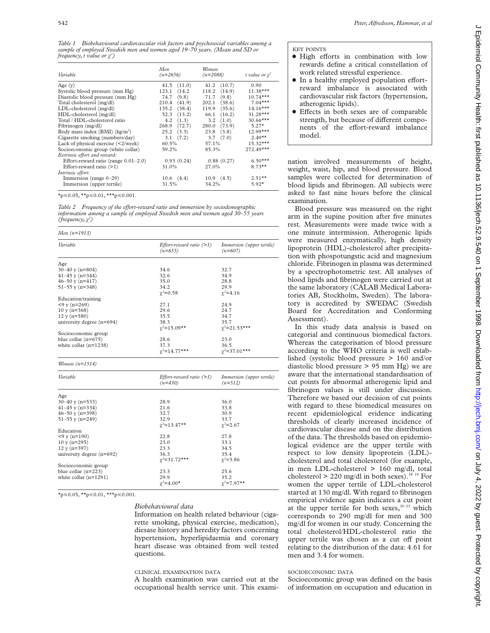*Table 1 Biobehavioural cardiovascular risk factors and psychosocial variables among a sample of employed Swedish men and women aged 19–70 years. (Mean and SD or frequency, t value or ÷<sup>2</sup> )*

| Variable                                   | Men<br>$(n=2656)$  | Women<br>$(n=2088)$ | t value or $\chi^2$ |
|--------------------------------------------|--------------------|---------------------|---------------------|
| Age $(y)$                                  | $41.5$ $(11.0)$    | $41.2$ $(10.7)$     | 0.90                |
| Systolic blood pressure (mm Hg)            | (14.2)<br>123.1    | (14.9)<br>118.2     | $11.38***$          |
| Diastolic blood pressure (mm Hg)           | (9.8)<br>74.7      | 71.7<br>(9.8)       | $10.74***$          |
| Total cholesterol (mg/dl)                  | 210.4<br>(41.9)    | 202.1<br>(38.6)     | $7.04***$           |
| LDL-cholesterol (mg/dl)                    | (38.4)<br>135.2    | 119.9<br>(35.6)     | $14.16***$          |
| HDL-cholesterol (mg/dl)                    | 52.3<br>(13.2)     | 66.1<br>(16.2)      | $31.28***$          |
| Total / HDL-cholesterol ratio              | (1.3)<br>4.2       | (1.0)<br>3.2        | $30.66***$          |
| Fibrinogen (mg/dl)                         | 268.9<br>(72.7)    | (73.9)<br>280.0     | $5.27*$             |
| Body mass index (BMI) (kg/m <sup>2</sup> ) | 25.2<br>(3.3)      | (3.8)<br>23.8       | $12.99***$          |
| Cigarette smoking (numbers/day)            | $3.1 \quad (7.2)$  | $3.7$ $(7.0)$       | $2.49**$            |
| Lack of physical exercise (<2/week)        | 60.5%              | 57.1%               | $15.32***$          |
| Socioeconomic group (white collar)         | 59.2%              | 85.3%               | $272.49***$         |
| Extrinsic effort and reward:               |                    |                     |                     |
| Effort-reward ratio (range $0.01-2.0$ )    | 0.93(0.24)         | 0.88(0.27)          | $6.50***$           |
| Effort-reward ratio $(>1)$                 | 31.0%              | 27.0%               | $8.73**$            |
| <i>Intrinsic effort:</i>                   |                    |                     |                     |
| Immersion (range $0-29$ )                  | $10.6 \quad (4.4)$ | $10.9$ $(4.5)$      | $2.51**$            |
| Immersion (upper tertile)                  | 31.5%              | 34.2%               | $5.92*$             |

 $\star_{p \leq 0.05}$ ,  $\star \star_{p \leq 0.01}$ ,  $\star \star \star_{p \leq 0.001}$ .

*Table 2* Frequency of the effort-reward ratio and immersion by sociodemographic *information among a sample of employed Swedish men and women aged 30–55 years (frequency,*  $\chi^2$ *)* 

| Men $(n=1913)$              |                                         |                                        |  |  |  |  |  |
|-----------------------------|-----------------------------------------|----------------------------------------|--|--|--|--|--|
| Variable                    | Effort-reward ratio $(>1)$<br>$(n=655)$ | Immersion (upper tertile)<br>$(n=607)$ |  |  |  |  |  |
| Age                         |                                         |                                        |  |  |  |  |  |
| $30-40$ y (n=804)           | 34.6                                    | 32.7                                   |  |  |  |  |  |
| $41-45$ y (n=344)           | 32.6                                    | 34.9                                   |  |  |  |  |  |
| $46 - 50$ y (n=417)         | 35.0                                    | 28.8                                   |  |  |  |  |  |
| $51 - 55$ y (n=348)         | 34.2                                    | 29.9                                   |  |  |  |  |  |
|                             | $\chi^2 = 0.58$                         | $\chi^2 = 4.16$                        |  |  |  |  |  |
| Education/training          |                                         |                                        |  |  |  |  |  |
| $<$ 9 y (n=269)             | 27.1                                    | 24.9                                   |  |  |  |  |  |
| $10 y (n=368)$              | 29.6                                    | 24.7                                   |  |  |  |  |  |
| $12 y (n=580)$              | 35.5                                    | 34.7                                   |  |  |  |  |  |
| university degree $(n=694)$ | 38.3                                    | 35.7                                   |  |  |  |  |  |
|                             | $\gamma^2 = 15.09$ **                   | $\gamma^2 = 21.53$ ***                 |  |  |  |  |  |
| Socioeconomic group         |                                         |                                        |  |  |  |  |  |
| blue collar $(n=675)$       | 28.6                                    | 23.0                                   |  |  |  |  |  |
| white collar $(n=1238)$     | 37.3                                    | 36.5                                   |  |  |  |  |  |
|                             | $\gamma^2 = 14.77$ ***                  | $\gamma^2 = 37.01$ ***                 |  |  |  |  |  |
| <i>Women</i> $(n=1514)$     |                                         |                                        |  |  |  |  |  |
| Variable                    | Effort-reward ratio $(>1)$<br>$(n=430)$ | Immersion (upper tertile)<br>$(n=512)$ |  |  |  |  |  |
| Age                         |                                         |                                        |  |  |  |  |  |
| $30-40$ y (n=533)           | 28.9                                    | 36.0                                   |  |  |  |  |  |
| $41-45$ y (n=334)           | 21.6                                    | 33.8                                   |  |  |  |  |  |
| $46 - 50$ y (n=398)         | 32.7                                    | 30.9                                   |  |  |  |  |  |
| $51 - 55$ y (n=249)         | 32.9                                    | 33.7                                   |  |  |  |  |  |
|                             | $\chi^2 = 13.47**$                      | $\chi^2 = 2.67$                        |  |  |  |  |  |
| Education                   |                                         |                                        |  |  |  |  |  |
| $<$ 9 y (n=190)             | 22.8                                    | 27.8                                   |  |  |  |  |  |
| $10y(n=295)$                | 23.0                                    | 33.1                                   |  |  |  |  |  |
| $12 y (n=397)$              | 23.3                                    | 34.5                                   |  |  |  |  |  |
| university degree $(n=692)$ | 36.3                                    | 35.4                                   |  |  |  |  |  |
|                             | $\gamma^2 = 31.72$ ***                  | $\gamma^2 = 3.86$                      |  |  |  |  |  |

 $\star_{p \leq 0.05}$ ,  $\star_{p \leq 0.01}$ ,  $\star_{\star_{p \leq 0.001}$ .

Socioeconomic group

white collar  $(n=1291)$ 

#### *Biobehavioural data*

blue collar  $(n=223)$  23.3 25.6<br>white collar  $(n=1291)$  29.9 35.2

Information on health related behaviour (cigarette smoking, physical exercise, medication), diesase history and heredity factors concerning hypertension, hyperlipidaemia and coronary heart disease was obtained from well tested questions.

 $\chi^2$ =7.97\*\*

 $\chi^2$ =4.00\*  $\chi^2$ 

### CLINICAL EXAMINATION DATA

A health examination was carried out at the occupational health service unit. This exami-

#### KEY POINTS

- $\bullet$  High efforts in combination with low rewards define a critical constellation of work related stressful experience.
- $\bullet$  In a healthy employed population effortreward imbalance is associated with cardiovascular risk factors (hypertension, atherogenic lipids).
- Effects in both sexes are of comparable strength, but because of different components of the effort-reward imbalance model.

nation involved measurements of height, weight, waist, hip, and blood pressure. Blood samples were collected for determination of blood lipids and fibrinogen. All subjects were asked to fast nine hours before the clinical examination.

Blood pressure was measured on the right arm in the supine position after five minutes rest. Measurements were made twice with a one minute intermission. Atherogenic lipids were measured enzymatically, high density lipoprotein (HDL)-cholesterol after precipitation with phospotungstic acid and magnesium chloride. Fibrinogen in plasma was determined by a spectrophotometric test. All analyses of blood lipids and fibrinogen were carried out at the same laboratory (CALAB Medical Laboratories AB, Stockholm, Sweden). The laboratory is accredited by SWEDAC (Swedish Board for Accreditation and Conforming Assessment).

In this study data analysis is based on categorial and continuous biomedical factors. Whereas the categorisation of blood pressure according to the WHO criteria is well established (systolic blood pressure > 160 and/or diastolic blood pressure > 95 mm Hg) we are aware that the international standardisation of cut points for abnormal atherogenic lipid and fibrinogen values is still under discussion. Therefore we based our decision of cut points with regard to these biomedical measures on recent epidemiological evidence indicating thresholds of clearly increased incidence of cardiovascular disease and on the distribution of the data. The thresholds based on epidemiological evidence are the upper tertile with respect to low density lipoprotein (LDL) cholesterol and total cholesterol (for example, in men LDL-cholesterol > 160 mg/dl, total cholesterol  $> 220$  mg/dl in both sexes).<sup>18 19</sup> For women the upper tertile of LDL-cholesterol started at 130 mg/dl. With regard to fibrinogen empirical evidence again indicates a cut point at the upper tertile for both sexes, $20-23$  which corresponds to 290 mg/dl for men and 300 mg/dl for women in our study. Concerning the total cholesterol/HDL-cholesterol ratio the upper tertile was chosen as a cut off point relating to the distribution of the data: 4.61 for men and 3.4 for women.

# SOCIOECONOMIC DATA

Socioeconomic group was defined on the basis of information on occupation and education in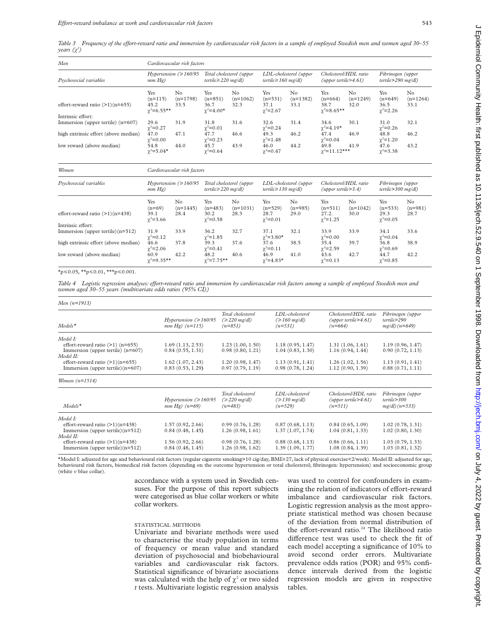Table 3 Frequency of the effort-reward ratio and immersion by cardiovascular risk factors in a sample of employed Swedish men and women aged 30–55 *years (÷<sup>2</sup> )*

| Men                                                         | Cardiovascular risk factors                     |                          |                                                       |                           |                                                     |                                      |                                                                   |                           |                                             |                           |
|-------------------------------------------------------------|-------------------------------------------------|--------------------------|-------------------------------------------------------|---------------------------|-----------------------------------------------------|--------------------------------------|-------------------------------------------------------------------|---------------------------|---------------------------------------------|---------------------------|
| Psychosocial variables<br>effort-reward ratio $(>1)(n=655)$ | Hypertension ( $\geq 160/95$ )<br>mm Hg)        |                          | Total cholesterol (upper<br>tertile $\geq$ 220 mg/dl) |                           | LDL-cholesterol (upper<br>tertile $\geq 160$ mg/dl) |                                      | Cholesterol/HDL ratio<br>$(u_{\text{pper}}\text{tertile} > 4.61)$ |                           | Fibrinogen (upper<br>$tertile$ > 290 mg/dl) |                           |
|                                                             | Yes<br>$(n=115)$<br>45.2<br>$\gamma^2 = 6.55**$ | N0<br>$(n=1798)$<br>33.5 | Yes<br>$(n=851)$<br>36.7<br>$\gamma^2 = 4.00^*$       | No.<br>$(n=1062)$<br>32.3 | Yes<br>$(n=531)$<br>37.1<br>$\gamma^2 = 2.67$       | N <sub>0</sub><br>$(n=1382)$<br>33.1 | Yes<br>$(n=664)$<br>38.7<br>$\gamma^2 = 8.65$ **                  | No.<br>$(n=1249)$<br>32.0 | Yes<br>$(n=649)$<br>36.5<br>$\chi^2 = 2.26$ | No.<br>$(n=1264)$<br>33.1 |
| Intrinsic effort:                                           |                                                 |                          |                                                       |                           |                                                     |                                      |                                                                   |                           |                                             |                           |
| Immersion (upper tertile) $(n=607)$                         | 29.6<br>$\gamma^2 = 0.27$                       | 31.9                     | 31.8<br>$\gamma^2 = 0.01$                             | 31.6                      | 32.6<br>$\gamma^2 = 0.24$                           | 31.4                                 | 34.6<br>$\gamma^2 = 4.19^{\star}$                                 | 30.1                      | 31.0<br>$\gamma^2 = 0.26$                   | 32.1                      |
| high extrinsic effort (above median)                        | 47.0<br>$\chi^2 = 0.00$                         | 47.1                     | 47.7<br>$\chi^2 = 0.23$                               | 46.6                      | 49.3<br>$\gamma^2 = 1.48$                           | 46.2                                 | 47.4<br>$\gamma^2 = 0.04$                                         | 46.9                      | 48.8<br>$\chi^2 = 1.20$                     | 46.2                      |
| low reward (above median)                                   | 54.8<br>$\chi^2 = 5.04*$                        | 44.0                     | 45.7<br>$\gamma^2 = 0.64$                             | 43.9                      | 46.0<br>$\gamma^2 = 0.47$                           | 44.2                                 | 49.8<br>$\gamma^2 = 11.12$ ***                                    | 41.9                      | 47.6<br>$\chi^2 = 3.38$                     | 43.2                      |

| Women                                                       | Cardiovascular risk factors                  |                          |                                                       |                          |                                                     |                         |                                                    |                           |                                             |                          |
|-------------------------------------------------------------|----------------------------------------------|--------------------------|-------------------------------------------------------|--------------------------|-----------------------------------------------------|-------------------------|----------------------------------------------------|---------------------------|---------------------------------------------|--------------------------|
| Psychosocial variables<br>effort-reward ratio $(>1)(n=438)$ | Hypertension ( $\geq 160/95$ )<br>mm Hg)     |                          | Total cholesterol (upper<br>tertile $\geq$ 220 mg/dl) |                          | LDL-cholesterol (upper<br>tertile $\geq$ 130 mg/dl) |                         | Cholesterol/HDL ratio<br>$(upper \ntertile > 3.4)$ |                           | Fibrinogen (upper<br>$tertile$ > 300 mg/dl) |                          |
|                                                             | Yes<br>$(n=69)$<br>39.1<br>$\gamma^2 = 3.66$ | No<br>$(n=1445)$<br>28.4 | Yes<br>$(n=483)$<br>30.2<br>$\chi^2 = 0.58$           | No<br>$(n=1031)$<br>28.3 | Yes<br>$(n=529)$<br>28.7<br>$\gamma^2 = 0.01$       | No<br>$(n=985)$<br>29.0 | Yes<br>$(n=511)$<br>27.2.<br>$\chi^2 = 1.25$       | No.<br>$(n=1042)$<br>30.0 | Yes<br>$(n=533)$<br>29.3<br>$\chi^2 = 0.05$ | No.<br>$(n=981)$<br>28.7 |
| Intrinsic effort:<br>Immersion (upper tertile) $(n=512)$    | 31.9<br>$\gamma^2 = 0.12$                    | 33.9                     | 36.2<br>$\chi^2 = 1.85$                               | 32.7                     | 37.1<br>$\gamma^2 = 3.80^{\star}$                   | 32.1                    | 33.9<br>$\chi^2 = 0.00$                            | 33.9                      | 34.1<br>$\gamma^2 = 0.04$                   | 33.6                     |
| high extrinsic effort (above median)                        | 46.6<br>$\gamma^2 = 2.06$                    | 37.8                     | 39.3<br>$\gamma^2 = 0.41$                             | 37.6                     | 37.6<br>$\gamma^2 = 0.11$                           | 38.5                    | 35.4<br>$\chi^2 = 2.59$                            | 39.7                      | 36.8<br>$\gamma^2 = 0.69$                   | 38.9                     |
| low reward (above median)                                   | 60.9<br>$\gamma^2 = 9.35**$                  | 42.2                     | 48.2<br>$\gamma^2 = 7.75**$                           | 40.6                     | 46.9<br>$\gamma^2 = 4.83*$                          | 41.0                    | 43.6<br>$\gamma^2 = 0.13$                          | 42.7                      | 44.7<br>$\gamma^2 = 0.85$                   | 42.2                     |

 $\star_{p \le 0.05}$ ,  $\star \star_{p \le 0.01}$ ,  $\star \star \star_{p \le 0.001}$ .

Table 4 Logistic regression analyses: effort-reward ratio and immersion by cardiovascular risk factors among a sample of employed Swedish men and *women aged 30–55 years (multivariate odds ratios (95% CI))*

| Men $(n=1913)$                      |                                                    |                                                        |                                                             |                                                                |                                                              |
|-------------------------------------|----------------------------------------------------|--------------------------------------------------------|-------------------------------------------------------------|----------------------------------------------------------------|--------------------------------------------------------------|
| $Models^*$                          | Hypertension ( $\geq 160/95$ )<br>$mm Hg)$ (n=115) | Total cholesterol<br>$\approx$ 220 mg/dl)<br>$(n=851)$ | LDL-cholesterol<br>$\approx 160 \text{ mg/dl}$<br>$(n=531)$ | Cholesterol/HDL ratio<br>(upper tertile $>4.61$ )<br>$(n=664)$ | Fibrinogen (upper<br>$tertile \geq 290$<br>$mg/dl$ ) (n=649) |
| Model I:                            |                                                    |                                                        |                                                             |                                                                |                                                              |
| effort-reward ratio $(>1)$ (n=655)  | 1.69(1.13, 2.53)                                   | 1.23(1.00, 1.50)                                       | 1.18(0.95, 1.47)                                            | 1.31(1.06, 1.61)                                               | 1.19(0.96, 1.47)                                             |
| Immersion (upper tertile) $(n=607)$ | 0.84(0.55, 1.31)                                   | 0.98(0.80, 1.21)                                       | 1.04(0.83, 1.30)                                            | 1.16(0.94, 1.44)                                               | 0.90(0.72, 1.13)                                             |
| Model II:                           |                                                    |                                                        |                                                             |                                                                |                                                              |
| effort-reward ratio $(>1)(n=655)$   | $1.62$ $(1.07, 2.43)$                              | 1.20(0.98, 1.47)                                       | 1.13(0.91, 1.41)                                            | 1.26(1.02, 1.56)                                               | 1.13(0.91, 1.41)                                             |
| Immersion (upper tertile) $(n=607)$ | 0.83(0.53, 1.29)                                   | 0.97(0.79, 1.19)                                       | 0.98(0.78, 1.24)                                            | 1.12(0.90, 1.39)                                               | 0.88(0.71, 1.11)                                             |

| $Models*$                           | Hypertension ( $\geq 160/95$ )<br>$mm Hg)$ (n=69) | Total cholesterol<br>$\approx$ 220 mg/dl)<br>$(n=483)$ | LDL-cholesterol<br>$\approx 130 \text{ mg/dl}$<br>$(n=529)$ | Cholesterol/HDL ratio<br>(upper tertile $>4.61$ )<br>$(n=511)$ | Fibrinogen (upper<br>$tertile \geq 300$<br>$mg/dl$ ) ( $n = 533$ ) |
|-------------------------------------|---------------------------------------------------|--------------------------------------------------------|-------------------------------------------------------------|----------------------------------------------------------------|--------------------------------------------------------------------|
| Model I:                            |                                                   |                                                        |                                                             |                                                                |                                                                    |
| effort-reward ratio $(>1)(n=438)$   | 1.57(0.92, 2.66)                                  | 0.99(0.76, 1.28)                                       | 0.87(0.68, 1.13)                                            | 0.84(0.65, 1.09)                                               | 1.02(0.78, 1.31)                                                   |
| Immersion (upper tertile) $(n=512)$ | 0.84(0.48, 1.45)                                  | 1.26(0.98, 1.61)                                       | 1.37(1.07, 1.74)                                            | 1.04(0.81, 1.33)                                               | 1.02(0.80, 1.30)                                                   |
| Model II:                           |                                                   |                                                        |                                                             |                                                                |                                                                    |
| effort-reward ratio $(>1)(n=438)$   | 1.56(0.92, 2.66)                                  | 0.98(0.76, 1.28)                                       | 0.88(0.68, 1.13)                                            | 0.86(0.66, 1.11)                                               | 1.03(0.79, 1.33)                                                   |
| Immersion (upper tertile) $(n=512)$ | 0.84(0.48, 1.45)                                  | 1.26(0.98, 1.62)                                       | 1.39(1.09, 1.77)                                            | 1.08(0.84, 1.39)                                               | 1.03(0.81, 1.32)                                                   |

\*Model I: adjusted for age and behavioural risk factors (regular cigarette smoking>10 cig/day, BMI>27, lack of physical exercise<2/week). Model II: adjusted for age, behavioural risk factors, biomedical risk factors (depending on the outcome hypertension or total cholesterol; fibrinogen: hypertension) and socioeconomic group (white *v* blue collar).

> accordance with a system used in Swedish censuses. For the purpose of this report subjects were categorised as blue collar workers or white collar workers.

#### STATISTICAL METHODS

Univariate and bivariate methods were used to characterise the study population in terms of frequency or mean value and standard deviation of psychosocial and biobehavioural variables and cardiovascular risk factors. Statistical significance of bivariate asociations was calculated with the help of  $\chi^2$  or two sided *t* tests. Multivariate logistic regression analysis

was used to control for confounders in examining the relation of indicators of effort-reward imbalance and cardiovascular risk factors. Logistic regression analysis as the most appropriate statistical method was chosen because of the deviation from normal distribution of the effort-reward ratio.<sup>24</sup> The likelihood ratio difference test was used to check the fit of each model accepting a significance of 10% to avoid second order errors. Multivariate prevalence odds ratios (POR) and 95% confidence intervals derived from the logistic regression models are given in respective tables.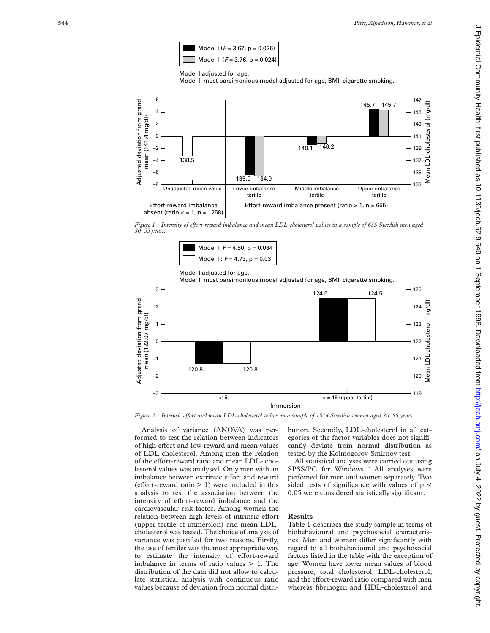

Model I adjusted for age.

Model II most parsimonious model adjusted for age, BMI, cigarette smoking.



*Figure 1* Intensity of effort-reward imbalance and mean LDL-cholesterol values in a sample of 655 Swedish men aged 30–55 vears.



Model I adjusted for age.

Model II most parsimonious model adjusted for age, BMI, cigarette smoking.



Analysis of variance (ANOVA) was performed to test the relation between indicators of high effort and low reward and mean values of LDL-cholesterol. Among men the relation of the effort-reward ratio and mean LDL- cholesterol values was analysed. Only men with an imbalance between extrinsic effort and reward  $($ effort-reward ratio  $> 1)$  were included in this analysis to test the association between the intensity of effort-reward imbalance and the cardiovascular risk factor. Among women the relation between high levels of intrinsic effort (upper tertile of immersion) and mean LDLcholesterol was tested. The choice of analysis of variance was justified for two reasons. Firstly, the use of tertiles was the most appropriate way to estimate the intensity of effort-reward imbalance in terms of ratio values > 1. The distribution of the data did not allow to calculate statistical analysis with continuous ratio values because of deviation from normal distribution. Secondly, LDL-cholesterol in all categories of the factor variables does not significantly deviate from normal distribution as tested by the Kolmogorov-Smirnov test.

All statistical analyses were carried out using SPSS/PC for Windows.<sup>25</sup> All analyses were perfomed for men and women separately. Two sided tests of significance with values of  $p \leq$ 0.05 were considered statistically significant.

#### **Results**

Table 1 describes the study sample in terms of biobehavioural and psychosocial characteristics. Men and women differ significantly with regard to all biobehavioural and psychosocial factors listed in the table with the exception of age. Women have lower mean values of blood pressure, total cholesterol, LDL-cholesterol, and the effort-reward ratio compared with men whereas fibrinogen and HDL-cholesterol and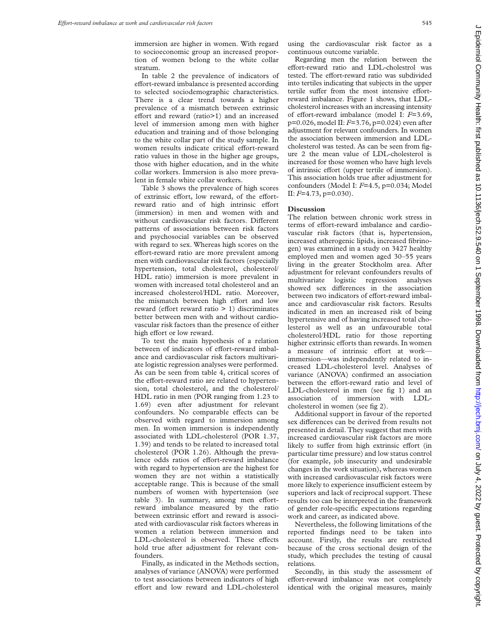immersion are higher in women. With regard to socioeconomic group an increased proportion of women belong to the white collar stratum.

In table 2 the prevalence of indicators of effort-reward imbalance is presented according to selected sociodemographic characteristics. There is a clear trend towards a higher prevalence of a mismatch between extrinsic effort and reward (ratio $>1$ ) and an increased level of immersion among men with higher education and training and of those belonging to the white collar part of the study sample. In women results indicate critical effort-reward ratio values in those in the higher age groups, those with higher education, and in the white collar workers. Immersion is also more prevalent in female white collar workers.

Table 3 shows the prevalence of high scores of extrinsic effort, low reward, of the effortreward ratio and of high intrinsic effort (immersion) in men and women with and without cardiovascular risk factors. Different patterns of associations between risk factors and psychosocial variables can be observed with regard to sex. Whereas high scores on the effort-reward ratio are more prevalent among men with cardiovascular risk factors (especially hypertension, total cholesterol, cholesterol/ HDL ratio) immersion is more prevalent in women with increased total cholesterol and an increased cholesterol/HDL ratio. Moreover, the mismatch between high effort and low reward (effort reward ratio  $> 1$ ) discriminates better between men with and without cardiovascular risk factors than the presence of either high effort or low reward.

To test the main hypothesis of a relation between of indicators of effort-reward imbalance and cardiovascular risk factors multivariate logistic regression analyses were performed. As can be seen from table 4, critical scores of the effort-reward ratio are related to hypertension, total cholesterol, and the cholesterol/ HDL ratio in men (POR ranging from 1.23 to 1.69) even after adjustment for relevant confounders. No comparable effects can be observed with regard to immersion among men. In women immersion is independently associated with LDL-cholesterol (POR 1.37, 1.39) and tends to be related to increased total cholesterol (POR 1.26). Although the prevalence odds ratios of effort-reward imbalance with regard to hypertension are the highest for women they are not within a statistically acceptable range. This is because of the small numbers of women with hypertension (see table 3). In summary, among men effortreward imbalance measured by the ratio between extrinsic effort and reward is associated with cardiovascular risk factors whereas in women a relation between immersion and LDL-cholesterol is observed. These effects hold true after adjustment for relevant confounders.

Finally, as indicated in the Methods section, analyses of variance (ANOVA) were performed to test associations between indicators of high effort and low reward and LDL-cholesterol

using the cardiovascular risk factor as a continuous outcome variable.

Regarding men the relation between the effort-reward ratio and LDL-cholestrol was tested. The effort-reward ratio was subdivided into tertiles indicating that subjects in the upper tertile suffer from the most intensive effortreward imbalance. Figure 1 shows, that LDLcholesterol increases with an increasing intensity of effort-reward imbalance (model I:  $F=3.69$ , p=0.026, model II: *F*=3.76, p=0.024) even after adjustment for relevant confounders. In women the association between immersion and LDLcholesterol was tested. As can be seen from figure 2 the mean value of LDL-cholesterol is increased for those women who have high levels of intrinsic effort (upper tertile of immersion). This association holds true after adjustment for confounders (Model I: *F*=4.5, p=0.034; Model II: *F*=4.73, p=0.030).

#### **Discussion**

The relation between chronic work stress in terms of effort-reward imbalance and cardiovascular risk factors (that is, hypertension, increased atherogenic lipids, increased fibrinogen) was examined in a study on 3427 healthy employed men and women aged 30–55 years living in the greater Stockholm area. After adjustment for relevant confounders results of multivariate logistic regression analyses showed sex differences in the association between two indicators of effort-reward imbalance and cardiovascular risk factors. Results indicated in men an increased risk of being hypertensive and of having increased total cholesterol as well as an unfavourable total cholesterol/HDL ratio for those reporting higher extrinsic efforts than rewards. In women a measure of intrinsic effort at workimmersion—was independently related to increased LDL-cholesterol level. Analyses of variance (ANOVA) confirmed an association between the effort-reward ratio and level of LDL-cholesterol in men (see fig 1) and an association of immersion with LDLcholesterol in women (see fig 2).

Additional support in favour of the reported sex differences can be derived from results not presented in detail. They suggest that men with increased cardiovascular risk factors are more likely to suffer from high extrinsic effort (in particular time pressure) and low status control (for example, job insecurity and undesirable changes in the work situation), whereas women with increased cardiovascular risk factors were more likely to experience insufficient esteem by superiors and lack of reciprocal support. These results too can be interpreted in the framework of gender role-specific expectations regarding work and career, as indicated above.

Nevertheless, the following limitations of the reported findings need to be taken into account. Firstly, the results are restricted because of the cross sectional design of the study, which precludes the testing of causal relations.

Secondly, in this study the assessment of effort-reward imbalance was not completely identical with the original measures, mainly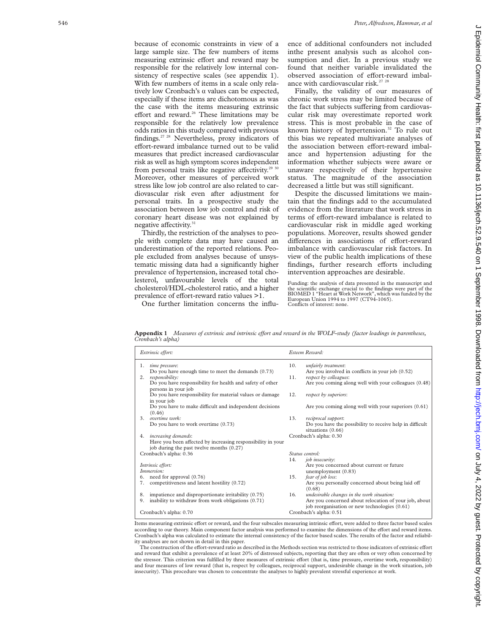because of economic constraints in view of a large sample size. The few numbers of items measuring extrinsic effort and reward may be responsible for the relatively low internal consistency of respective scales (see appendix 1). With few numbers of items in a scale only relatively low Cronbach's  $\alpha$  values can be expected, especially if these items are dichotomous as was the case with the items measuring extrinsic effort and reward.<sup>26</sup> These limitations may be responsible for the relatively low prevalence odds ratios in this study compared with previous findings.27 28 Nevertheless, proxy indicators of effort-reward imbalance turned out to be valid measures that predict increased cardiovascular risk as well as high symptom scores independent from personal traits like negative affectivity.<sup>29 30</sup> Moreover, other measures of perceived work stress like low job control are also related to cardiovascular risk even after adjustment for personal traits. In a prospective study the association between low job control and risk of coronary heart disease was not explained by negative affectivity.<sup>31</sup>

Thirdly, the restriction of the analyses to people with complete data may have caused an underestimation of the reported relations. People excluded from analyses because of unsystematic missing data had a significantly higher prevalence of hypertension, increased total cholesterol, unfavourable levels of the total cholesterol/HDL-cholesterol ratio, and a higher prevalence of effort-reward ratio values >1.

One further limitation concerns the influ-

ence of additional confounders not included inthe present analysis such as alcohol consumption and diet. In a previous study we found that neither variable invalidated the observed association of effort-reward imbalance with cardiovascular risk.<sup>27</sup> <sup>28</sup>

Finally, the validity of our measures of chronic work stress may be limited because of the fact that subjects suffering from cardiovascular risk may overestimate reported work stress. This is most probable in the case of known history of hypertension.<sup>32</sup> To rule out this bias we repeated multivariate analyses of the association between effort-reward imbalance and hypertension adjusting for the information whether subjects were aware or unaware respectively of their hypertensive status. The magnitude of the association decreased a little but was still significant.

Despite the discussed limitations we maintain that the findings add to the accumulated evidence from the literature that work stress in terms of effort-reward imbalance is related to cardiovascular risk in middle aged working populations. Moreover, results showed gender differences in associations of effort-reward imbalance with cardiovascular risk factors. In view of the public health implications of these findings, further research efforts including intervention approaches are desirable.

Funding: the analysis of data presented in the manuscript and the scientific exchange crucial to the findings were part of the BIOMED 1 "Heart at Work Network", which was funded by the European Union 1994 to 1997 (CT94-1065). Conflicts of interest: none.

Appendix 1 *Measures of extrinsic and intrinsic effort and reward in the WOLF-study (factor loadings in parentheses, Cronbach's alpha)*

| Extrinsic effort:                                                                | Esteem Reward:                                                         |
|----------------------------------------------------------------------------------|------------------------------------------------------------------------|
| 1.<br>time pressure:                                                             | 10.<br>unfairly treatment:                                             |
| Do you have enough time to meet the demands (0.73)                               | Are you involved in conflicts in your job (0.52)                       |
| responsibility:<br>2.                                                            | respect by colleagues:<br>11.                                          |
| Do you have responsibility for health and safety of other                        | Are you coming along well with your colleagues (0.48)                  |
| persons in your job                                                              |                                                                        |
| Do you have responsibility for material values or damage                         | 12.<br>respect by superiors:                                           |
| in your job                                                                      |                                                                        |
| Do you have to make difficult and independent decisions                          | Are you coming along well with your superiors (0.61)                   |
| (0.46)<br>$3$ overtime work.                                                     | 13.                                                                    |
|                                                                                  | reciprocal support:                                                    |
| Do you have to work overtime (0.73)                                              | Do you have the possibility to receive help in difficult               |
|                                                                                  | situations (0.66)                                                      |
| increasing demands:<br>4.                                                        | Cronbach's alpha: 0.30                                                 |
| Have you been affected by increasing responsibility in your                      |                                                                        |
| job during the past twelve months (0.27)                                         | Status control:                                                        |
| Cronbach's alpha: 0.36                                                           | 14.                                                                    |
|                                                                                  | job insecurity:                                                        |
| Intrinsic effort:<br>Immersion:                                                  | Are you concerned about current or future                              |
|                                                                                  | unemployment (0.83)<br>15.                                             |
| 6. need for approval (0.76)<br>competitiveness and latent hostility (0.72)<br>7. | fear of job loss:<br>Are you personally concerned about being laid off |
|                                                                                  | (0.68)                                                                 |
| impatience and disproportionate irritability (0.75)<br>8.                        | undesirable changes in the work situation:<br>16.                      |
| inability to withdraw from work obligations (0.71)<br>9.                         | Are you concerned about relocation of your job, about                  |
|                                                                                  | job reorganisation or new technologies (0.61)                          |
| Cronbach's alpha: 0.70                                                           | Cronbach's alpha: 0.51                                                 |
|                                                                                  |                                                                        |

Items measuring extrinsic effort or reward, and the four subscales measuring intrinsic effort, were added to three factor based scales according to our theory. Main component factor analysis was performed to examine the dimensions of the effort and reward items. Cronbach's alpha was calculated to estimate the internal consistency of the factor based scales. The results of the factor and reliability analyses are not shown in detail in this paper.

The construction of the effort-reward ratio as described in the Methods section was restricted to those indicators of extrinsic effort and reward that exhibit a prevalence of at least 20% of distressed subjects, reporting that they are often or very often concerned by the stressor. This criterion was fulfilled by three measures of extrinsic effort (that is, time pressure, overtime work, responsibility) and four measures of low reward (that is, respect by colleagues, reciprocal support, undesirable change in the work situation, job insecurity). This procedure was chosen to concentrate the analyses to highly prevalent stressful experience at work.